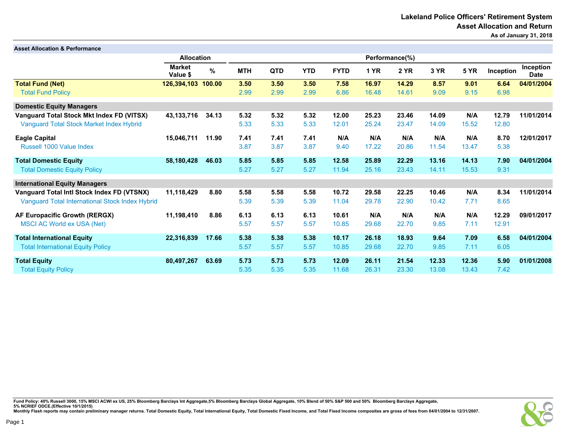| <b>Asset Allocation &amp; Performance</b>       |                           |        |            |            |                |             |             |             |       |             |           |                          |
|-------------------------------------------------|---------------------------|--------|------------|------------|----------------|-------------|-------------|-------------|-------|-------------|-----------|--------------------------|
|                                                 | <b>Allocation</b>         |        |            |            | Performance(%) |             |             |             |       |             |           |                          |
|                                                 | <b>Market</b><br>Value \$ | $\%$   | <b>MTH</b> | <b>QTD</b> | <b>YTD</b>     | <b>FYTD</b> | <b>1 YR</b> | <b>2 YR</b> | 3 YR  | <b>5 YR</b> | Inception | Inception<br><b>Date</b> |
| <b>Total Fund (Net)</b>                         | 126,394,103               | 100.00 | 3.50       | 3.50       | 3.50           | 7.58        | 16.97       | 14.29       | 8.57  | 9.01        | 6.64      | 04/01/2004               |
| <b>Total Fund Policy</b>                        |                           |        | 2.99       | 2.99       | 2.99           | 6.86        | 16.48       | 14.61       | 9.09  | 9.15        | 6.98      |                          |
| <b>Domestic Equity Managers</b>                 |                           |        |            |            |                |             |             |             |       |             |           |                          |
| Vanguard Total Stock Mkt Index FD (VITSX)       | 43, 133, 716              | 34.13  | 5.32       | 5.32       | 5.32           | 12.00       | 25.23       | 23.46       | 14.09 | N/A         | 12.79     | 11/01/2014               |
| Vanguard Total Stock Market Index Hybrid        |                           |        | 5.33       | 5.33       | 5.33           | 12.01       | 25.24       | 23.47       | 14.09 | 15.52       | 12.80     |                          |
| <b>Eagle Capital</b>                            | 15,046,711                | 11.90  | 7.41       | 7.41       | 7.41           | N/A         | N/A         | N/A         | N/A   | N/A         | 8.70      | 12/01/2017               |
| Russell 1000 Value Index                        |                           |        | 3.87       | 3.87       | 3.87           | 9.40        | 17.22       | 20.86       | 11.54 | 13.47       | 5.38      |                          |
| <b>Total Domestic Equity</b>                    | 58,180,428                | 46.03  | 5.85       | 5.85       | 5.85           | 12.58       | 25.89       | 22.29       | 13.16 | 14.13       | 7.90      | 04/01/2004               |
| <b>Total Domestic Equity Policy</b>             |                           |        | 5.27       | 5.27       | 5.27           | 11.94       | 25.16       | 23.43       | 14.11 | 15.53       | 9.31      |                          |
| <b>International Equity Managers</b>            |                           |        |            |            |                |             |             |             |       |             |           |                          |
| Vanguard Total Intl Stock Index FD (VTSNX)      | 11,118,429                | 8.80   | 5.58       | 5.58       | 5.58           | 10.72       | 29.58       | 22.25       | 10.46 | N/A         | 8.34      | 11/01/2014               |
| Vanguard Total International Stock Index Hybrid |                           |        | 5.39       | 5.39       | 5.39           | 11.04       | 29.78       | 22.90       | 10.42 | 7.71        | 8.65      |                          |
| AF Europacific Growth (RERGX)                   | 11,198,410                | 8.86   | 6.13       | 6.13       | 6.13           | 10.61       | N/A         | N/A         | N/A   | N/A         | 12.29     | 09/01/2017               |
| <b>MSCI AC World ex USA (Net)</b>               |                           |        | 5.57       | 5.57       | 5.57           | 10.85       | 29.68       | 22.70       | 9.85  | 7.11        | 12.91     |                          |
| <b>Total International Equity</b>               | 22,316,839                | 17.66  | 5.38       | 5.38       | 5.38           | 10.17       | 26.18       | 18.93       | 9.64  | 7.09        | 6.58      | 04/01/2004               |
| <b>Total International Equity Policy</b>        |                           |        | 5.57       | 5.57       | 5.57           | 10.85       | 29.68       | 22.70       | 9.85  | 7.11        | 6.05      |                          |
| <b>Total Equity</b>                             | 80,497,267                | 63.69  | 5.73       | 5.73       | 5.73           | 12.09       | 26.11       | 21.54       | 12.33 | 12.36       | 5.90      | 01/01/2008               |
| <b>Total Equity Policy</b>                      |                           |        | 5.35       | 5.35       | 5.35           | 11.68       | 26.31       | 23.30       | 13.08 | 13.43       | 7.42      |                          |

Fund Policy: 40% Russell 3000, 15% MSCI ACWI ex US, 25% Bloomberg Barclays Int Aggregate,5% Bloomberg Barclays Global Aggregate, 10% Blend of 50% S&P 500 and 50% Bloomberg Barclays Aggregate,<br>5% NCRIEF ODCE.(Effective 10/1

Page 1

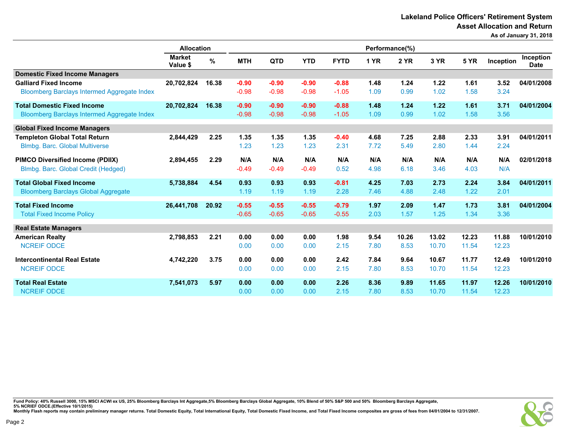Lakeland Police Officers' Retirement System Asset Allocation and Return

As of January 31, 2018

|                                                    | <b>Allocation</b>         |       | Performance(%) |            |            |             |      |             |       |             |           |                          |
|----------------------------------------------------|---------------------------|-------|----------------|------------|------------|-------------|------|-------------|-------|-------------|-----------|--------------------------|
|                                                    | <b>Market</b><br>Value \$ | %     | <b>MTH</b>     | <b>QTD</b> | <b>YTD</b> | <b>FYTD</b> | 1 YR | <b>2 YR</b> | 3 YR  | <b>5 YR</b> | Inception | Inception<br><b>Date</b> |
| <b>Domestic Fixed Income Managers</b>              |                           |       |                |            |            |             |      |             |       |             |           |                          |
| <b>Galliard Fixed Income</b>                       | 20,702,824                | 16.38 | $-0.90$        | $-0.90$    | $-0.90$    | $-0.88$     | 1.48 | 1.24        | 1.22  | 1.61        | 3.52      | 04/01/2008               |
| <b>Bloomberg Barclays Intermed Aggregate Index</b> |                           |       | $-0.98$        | $-0.98$    | $-0.98$    | $-1.05$     | 1.09 | 0.99        | 1.02  | 1.58        | 3.24      |                          |
| <b>Total Domestic Fixed Income</b>                 | 20,702,824                | 16.38 | $-0.90$        | $-0.90$    | $-0.90$    | $-0.88$     | 1.48 | 1.24        | 1.22  | 1.61        | 3.71      | 04/01/2004               |
| Bloomberg Barclays Intermed Aggregate Index        |                           |       | $-0.98$        | $-0.98$    | $-0.98$    | $-1.05$     | 1.09 | 0.99        | 1.02  | 1.58        | 3.56      |                          |
| <b>Global Fixed Income Managers</b>                |                           |       |                |            |            |             |      |             |       |             |           |                          |
| <b>Templeton Global Total Return</b>               | 2,844,429                 | 2.25  | 1.35           | 1.35       | 1.35       | $-0.40$     | 4.68 | 7.25        | 2.88  | 2.33        | 3.91      | 04/01/2011               |
| Blmbg. Barc. Global Multiverse                     |                           |       | 1.23           | 1.23       | 1.23       | 2.31        | 7.72 | 5.49        | 2.80  | 1.44        | 2.24      |                          |
| <b>PIMCO Diversified Income (PDIIX)</b>            | 2,894,455                 | 2.29  | N/A            | N/A        | N/A        | N/A         | N/A  | N/A         | N/A   | N/A         | N/A       | 02/01/2018               |
| Blmbg. Barc. Global Credit (Hedged)                |                           |       | $-0.49$        | $-0.49$    | $-0.49$    | 0.52        | 4.98 | 6.18        | 3.46  | 4.03        | N/A       |                          |
| <b>Total Global Fixed Income</b>                   | 5,738,884                 | 4.54  | 0.93           | 0.93       | 0.93       | $-0.81$     | 4.25 | 7.03        | 2.73  | 2.24        | 3.84      | 04/01/2011               |
| <b>Bloomberg Barclays Global Aggregate</b>         |                           |       | 1.19           | 1.19       | 1.19       | 2.28        | 7.46 | 4.88        | 2.48  | 1.22        | 2.01      |                          |
| <b>Total Fixed Income</b>                          | 26,441,708                | 20.92 | $-0.55$        | $-0.55$    | $-0.55$    | $-0.79$     | 1.97 | 2.09        | 1.47  | 1.73        | 3.81      | 04/01/2004               |
| <b>Total Fixed Income Policy</b>                   |                           |       | $-0.65$        | $-0.65$    | $-0.65$    | $-0.55$     | 2.03 | 1.57        | 1.25  | 1.34        | 3.36      |                          |
| <b>Real Estate Managers</b>                        |                           |       |                |            |            |             |      |             |       |             |           |                          |
| <b>American Realty</b>                             | 2,798,853                 | 2.21  | 0.00           | 0.00       | 0.00       | 1.98        | 9.54 | 10.26       | 13.02 | 12.23       | 11.88     | 10/01/2010               |
| <b>NCREIF ODCE</b>                                 |                           |       | 0.00           | 0.00       | 0.00       | 2.15        | 7.80 | 8.53        | 10.70 | 11.54       | 12.23     |                          |
| <b>Intercontinental Real Estate</b>                | 4,742,220                 | 3.75  | 0.00           | 0.00       | 0.00       | 2.42        | 7.84 | 9.64        | 10.67 | 11.77       | 12.49     | 10/01/2010               |
| <b>NCREIF ODCE</b>                                 |                           |       | 0.00           | 0.00       | 0.00       | 2.15        | 7.80 | 8.53        | 10.70 | 11.54       | 12.23     |                          |
| <b>Total Real Estate</b>                           | 7,541,073                 | 5.97  | 0.00           | 0.00       | 0.00       | 2.26        | 8.36 | 9.89        | 11.65 | 11.97       | 12.26     | 10/01/2010               |
| <b>NCREIF ODCE</b>                                 |                           |       | 0.00           | 0.00       | 0.00       | 2.15        | 7.80 | 8.53        | 10.70 | 11.54       | 12.23     |                          |

Fund Policy: 40% Russell 3000, 15% MSCI ACWI ex US, 25% Bloomberg Barclays Int Aggregate,5% Bloomberg Barclays Global Aggregate, 10% Blend of 50% S&P 500 and 50% Bloomberg Barclays Aggregate,<br>5% NCRIEF ODCE.(Effective 10/1

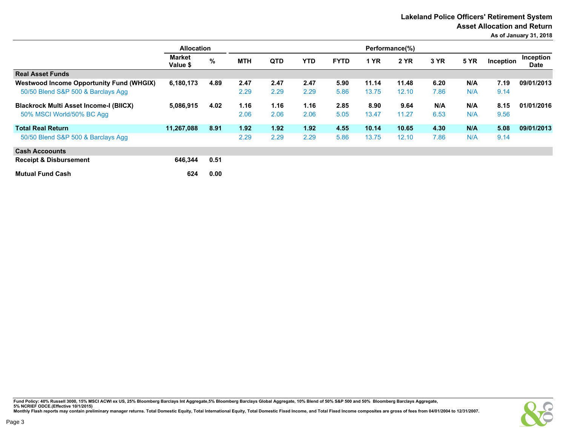|                                                 | <b>Allocation</b>         |      | Performance(%) |            |      |             |             |             |      |             |           |                          |
|-------------------------------------------------|---------------------------|------|----------------|------------|------|-------------|-------------|-------------|------|-------------|-----------|--------------------------|
|                                                 | <b>Market</b><br>Value \$ | %    | <b>MTH</b>     | <b>QTD</b> | YTD. | <b>FYTD</b> | <b>1 YR</b> | <b>2 YR</b> | 3 YR | <b>5 YR</b> | Inception | Inception<br><b>Date</b> |
| <b>Real Asset Funds</b>                         |                           |      |                |            |      |             |             |             |      |             |           |                          |
| <b>Westwood Income Opportunity Fund (WHGIX)</b> | 6,180,173                 | 4.89 | 2.47           | 2.47       | 2.47 | 5.90        | 11.14       | 11.48       | 6.20 | N/A         | 7.19      | 09/01/2013               |
| 50/50 Blend S&P 500 & Barclays Agg              |                           |      | 2.29           | 2.29       | 2.29 | 5.86        | 13.75       | 12.10       | 7.86 | N/A         | 9.14      |                          |
| <b>Blackrock Multi Asset Income-I (BIICX)</b>   | 5,086,915                 | 4.02 | 1.16           | 1.16       | 1.16 | 2.85        | 8.90        | 9.64        | N/A  | N/A         | 8.15      | 01/01/2016               |
| 50% MSCI World/50% BC Agg                       |                           |      | 2.06           | 2.06       | 2.06 | 5.05        | 13.47       | 11.27       | 6.53 | N/A         | 9.56      |                          |
| <b>Total Real Return</b>                        | 11,267,088                | 8.91 | 1.92           | 1.92       | 1.92 | 4.55        | 10.14       | 10.65       | 4.30 | N/A         | 5.08      | 09/01/2013               |
| 50/50 Blend S&P 500 & Barclays Agg              |                           |      | 2.29           | 2.29       | 2.29 | 5.86        | 13.75       | 12.10       | 7.86 | N/A         | 9.14      |                          |
| <b>Cash Accoounts</b>                           |                           |      |                |            |      |             |             |             |      |             |           |                          |
| <b>Receipt &amp; Disbursement</b>               | 646,344                   | 0.51 |                |            |      |             |             |             |      |             |           |                          |
| <b>Mutual Fund Cash</b>                         | 624                       | 0.00 |                |            |      |             |             |             |      |             |           |                          |

Fund Policy: 40% Russell 3000, 15% MSCI ACWI ex US, 25% Bloomberg Barclays Int Aggregate,5% Bloomberg Barclays Global Aggregate, 10% Blend of 50% S&P 500 and 50% Bloomberg Barclays Aggregate,<br>5% NCRIEF ODCE.(Effective 10/1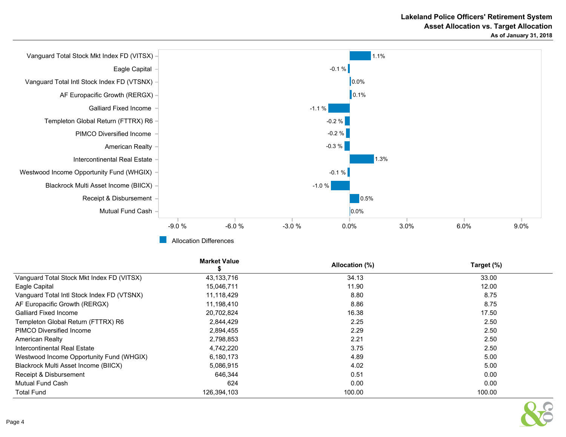

|                                            | <b>Market Value</b> | Allocation (%) | Target (%) |
|--------------------------------------------|---------------------|----------------|------------|
| Vanguard Total Stock Mkt Index FD (VITSX)  | 43,133,716          | 34.13          | 33.00      |
| Eagle Capital                              | 15,046,711          | 11.90          | 12.00      |
| Vanguard Total Intl Stock Index FD (VTSNX) | 11,118,429          | 8.80           | 8.75       |
| AF Europacific Growth (RERGX)              | 11,198,410          | 8.86           | 8.75       |
| Galliard Fixed Income                      | 20,702,824          | 16.38          | 17.50      |
| Templeton Global Return (FTTRX) R6         | 2,844,429           | 2.25           | 2.50       |
| PIMCO Diversified Income                   | 2,894,455           | 2.29           | 2.50       |
| American Realty                            | 2,798,853           | 2.21           | 2.50       |
| Intercontinental Real Estate               | 4,742,220           | 3.75           | 2.50       |
| Westwood Income Opportunity Fund (WHGIX)   | 6,180,173           | 4.89           | 5.00       |
| Blackrock Multi Asset Income (BIICX)       | 5,086,915           | 4.02           | 5.00       |
| Receipt & Disbursement                     | 646.344             | 0.51           | 0.00       |
| <b>Mutual Fund Cash</b>                    | 624                 | 0.00           | 0.00       |
| <b>Total Fund</b>                          | 126,394,103         | 100.00         | 100.00     |

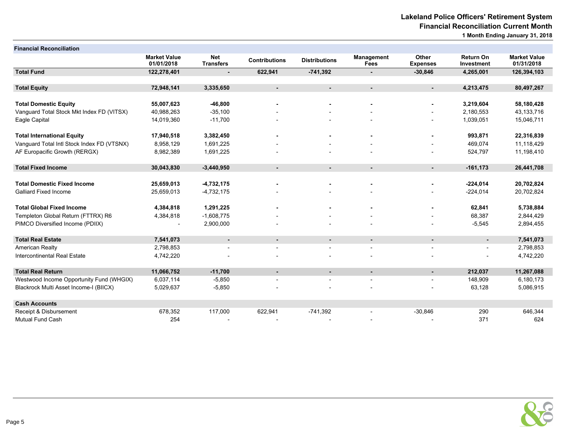| <b>Financial Reconciliation</b>            |                                   |                                |                          |                          |                                  |                          |                                |                                   |
|--------------------------------------------|-----------------------------------|--------------------------------|--------------------------|--------------------------|----------------------------------|--------------------------|--------------------------------|-----------------------------------|
|                                            | <b>Market Value</b><br>01/01/2018 | <b>Net</b><br><b>Transfers</b> | <b>Contributions</b>     | <b>Distributions</b>     | <b>Management</b><br><b>Fees</b> | Other<br><b>Expenses</b> | <b>Return On</b><br>Investment | <b>Market Value</b><br>01/31/2018 |
| <b>Total Fund</b>                          | 122,278,401                       | $\blacksquare$                 | 622,941                  | $-741,392$               | $\blacksquare$                   | $-30,846$                | 4,265,001                      | 126,394,103                       |
|                                            |                                   |                                |                          |                          |                                  |                          |                                |                                   |
| <b>Total Equity</b>                        | 72,948,141                        | 3,335,650                      | $\sim$                   | $\blacksquare$           | $\blacksquare$                   | $\sim$                   | 4,213,475                      | 80,497,267                        |
| <b>Total Domestic Equity</b>               | 55,007,623                        | $-46,800$                      |                          |                          | ٠                                |                          | 3,219,604                      | 58,180,428                        |
| Vanguard Total Stock Mkt Index FD (VITSX)  | 40,988,263                        | $-35,100$                      |                          |                          |                                  |                          | 2,180,553                      | 43, 133, 716                      |
| Eagle Capital                              | 14,019,360                        | $-11,700$                      |                          |                          |                                  |                          | 1,039,051                      | 15,046,711                        |
| <b>Total International Equity</b>          | 17,940,518                        | 3,382,450                      |                          |                          |                                  |                          | 993,871                        | 22,316,839                        |
| Vanguard Total Intl Stock Index FD (VTSNX) | 8,958,129                         | 1,691,225                      |                          |                          |                                  |                          | 469,074                        | 11,118,429                        |
| AF Europacific Growth (RERGX)              | 8,982,389                         | 1,691,225                      |                          |                          |                                  |                          | 524,797                        | 11,198,410                        |
| <b>Total Fixed Income</b>                  | 30,043,830                        | $-3,440,950$                   | $\sim$                   | $\blacksquare$           | $\blacksquare$                   | $\sim$                   | $-161, 173$                    | 26,441,708                        |
| <b>Total Domestic Fixed Income</b>         | 25,659,013                        | $-4,732,175$                   |                          |                          | $\blacksquare$                   |                          | $-224,014$                     | 20,702,824                        |
| Galliard Fixed Income                      | 25,659,013                        | $-4,732,175$                   |                          |                          |                                  |                          | $-224,014$                     | 20,702,824                        |
| <b>Total Global Fixed Income</b>           | 4,384,818                         | 1,291,225                      |                          |                          |                                  |                          | 62,841                         | 5,738,884                         |
| Templeton Global Return (FTTRX) R6         | 4,384,818                         | $-1,608,775$                   |                          |                          |                                  |                          | 68,387                         | 2,844,429                         |
| PIMCO Diversified Income (PDIIX)           | $\overline{\phantom{a}}$          | 2,900,000                      |                          |                          |                                  |                          | $-5,545$                       | 2,894,455                         |
| <b>Total Real Estate</b>                   | 7,541,073                         | $\blacksquare$                 | $\sim$                   | $\blacksquare$           | $\blacksquare$                   | $\blacksquare$           | $\blacksquare$                 | 7,541,073                         |
| American Realty                            | 2,798,853                         |                                |                          |                          |                                  |                          |                                | 2,798,853                         |
| Intercontinental Real Estate               | 4,742,220                         |                                |                          |                          |                                  |                          |                                | 4,742,220                         |
| <b>Total Real Return</b>                   | 11,066,752                        | $-11,700$                      | $\sim$                   | $\overline{\phantom{a}}$ | $\blacksquare$                   | $\sim$                   | 212,037                        | 11,267,088                        |
| Westwood Income Opportunity Fund (WHGIX)   | 6,037,114                         | $-5,850$                       | $\overline{\phantom{a}}$ | $\overline{\phantom{a}}$ | $\overline{\phantom{a}}$         |                          | 148,909                        | 6,180,173                         |
| Blackrock Multi Asset Income-I (BIICX)     | 5,029,637                         | $-5,850$                       |                          |                          |                                  |                          | 63,128                         | 5,086,915                         |
| <b>Cash Accounts</b>                       |                                   |                                |                          |                          |                                  |                          |                                |                                   |
| Receipt & Disbursement                     | 678,352                           | 117,000                        | 622,941                  | $-741,392$               |                                  | $-30,846$                | 290                            | 646,344                           |
| Mutual Fund Cash                           | 254                               |                                |                          |                          |                                  |                          | 371                            | 624                               |